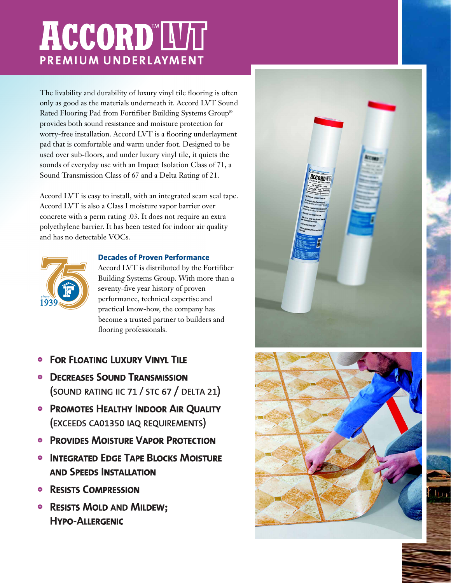# **ACCORD IVIT** PREMIUM UNDERLAYMENT

The livability and durability of luxury vinyl tile flooring is often only as good as the materials underneath it. Accord LVT Sound Rated Flooring Pad from Fortifiber Building Systems Group® provides both sound resistance and moisture protection for worry-free installation. Accord LVT is a flooring underlayment pad that is comfortable and warm under foot. Designed to be used over sub-floors, and under luxury vinyl tile, it quiets the sounds of everyday use with an Impact Isolation Class of 71, a Sound Transmission Class of 67 and a Delta Rating of 21.

Accord LVT is easy to install, with an integrated seam seal tape. Accord LVT is also a Class I moisture vapor barrier over concrete with a perm rating .03. It does not require an extra polyethylene barrier. It has been tested for indoor air quality and has no detectable VOCs.



## **Decades of Proven Performance**

Accord LVT is distributed by the Fortifiber Building Systems Group. With more than a seventy-five year history of proven performance, technical expertise and practical know-how, the company has become a trusted partner to builders and flooring professionals.

- **FOR FLOATING LUXURY VINYL TILE**  $\bullet$
- **DECREASES SOUND TRANSMISSION** (SOUND RATING IIC 71 / STC 67 / DELTA 21)
- PROMOTES HEALTHY INDOOR AIR QUALITY (EXCEEDS CA01350 IAQ REQUIREMENTS)
- **PROVIDES MOISTURE VAPOR PROTECTION**
- **INTEGRATED EDGE TAPE BLOCKS MOISTURE**  $\bullet$ **AND SPEEDS INSTALLATION**
- **RESISTS COMPRESSION**  $\bullet$
- RESISTS MOLD AND MILDEW; **HYPO-ALLERGENIC**